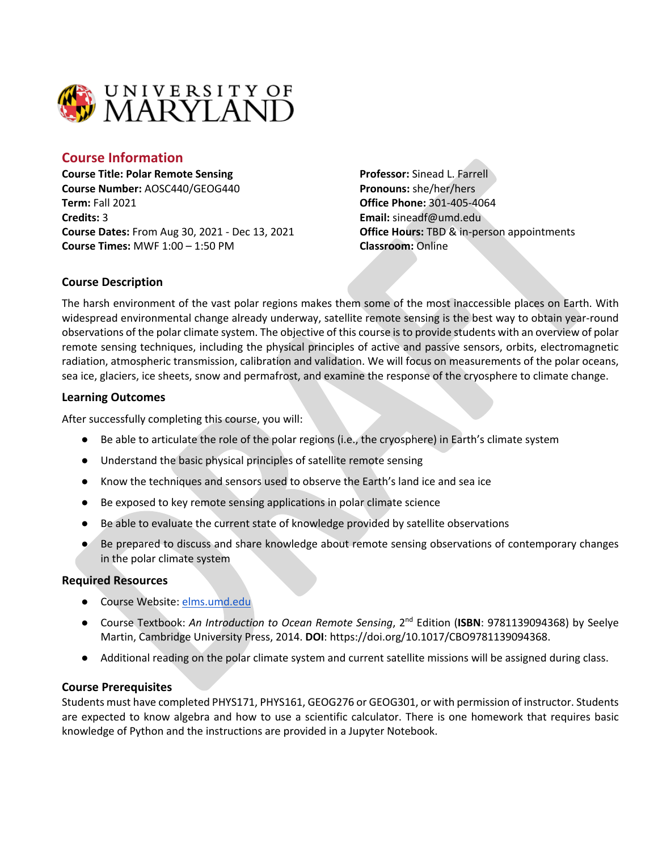

# **Course Information**

**Course Title: Polar Remote Sensing Course Number:** AOSC440/GEOG440 **Term:** Fall 2021 **Credits:** 3 **Course Dates:** From Aug 30, 2021 - Dec 13, 2021 **Course Times:** MWF 1:00 – 1:50 PM

**Professor:** Sinead L. Farrell **Pronouns:** she/her/hers **Office Phone:** 301-405-4064 **Email:** sineadf@umd.edu **Office Hours:** TBD & in-person appointments **Classroom:** Online

### **Course Description**

The harsh environment of the vast polar regions makes them some of the most inaccessible places on Earth. With widespread environmental change already underway, satellite remote sensing is the best way to obtain year-round observations of the polar climate system. The objective of this course is to provide students with an overview of polar remote sensing techniques, including the physical principles of active and passive sensors, orbits, electromagnetic radiation, atmospheric transmission, calibration and validation. We will focus on measurements of the polar oceans, sea ice, glaciers, ice sheets, snow and permafrost, and examine the response of the cryosphere to climate change.

### **Learning Outcomes**

After successfully completing this course, you will:

- Be able to articulate the role of the polar regions (i.e., the cryosphere) in Earth's climate system
- Understand the basic physical principles of satellite remote sensing
- Know the techniques and sensors used to observe the Earth's land ice and sea ice
- Be exposed to key remote sensing applications in polar climate science
- Be able to evaluate the current state of knowledge provided by satellite observations
- Be prepared to discuss and share knowledge about remote sensing observations of contemporary changes in the polar climate system

### **Required Resources**

- Course Website: elms.umd.edu
- Course Textbook: *An Introduction to Ocean Remote Sensing*, 2<sup>nd</sup> Edition (**ISBN**: 9781139094368) by Seelye Martin, Cambridge University Press, 2014. **DOI**: https://doi.org/10.1017/CBO9781139094368.
- Additional reading on the polar climate system and current satellite missions will be assigned during class.

### **Course Prerequisites**

Students must have completed PHYS171, PHYS161, GEOG276 or GEOG301, or with permission of instructor. Students are expected to know algebra and how to use a scientific calculator. There is one homework that requires basic knowledge of Python and the instructions are provided in a Jupyter Notebook.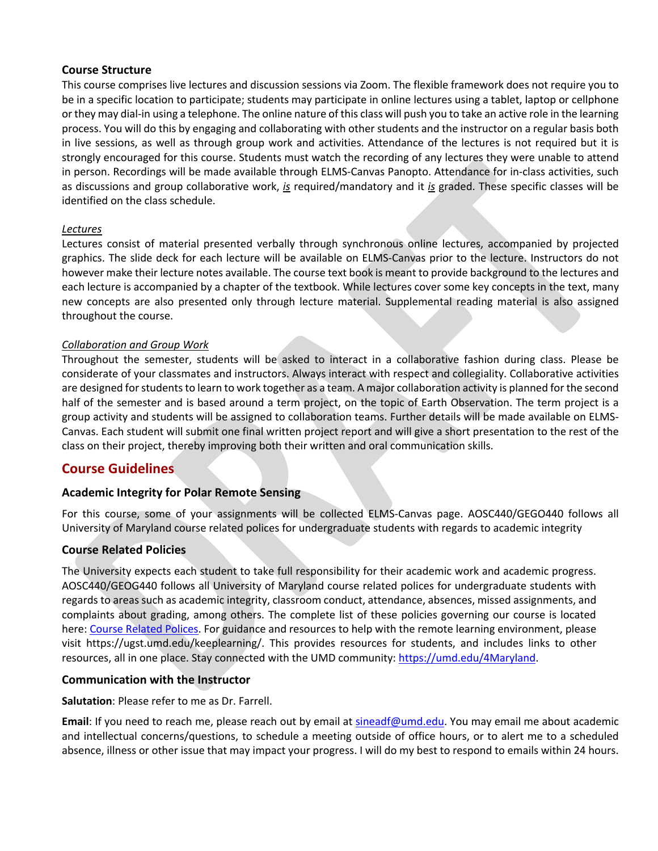### **Course Structure**

This course comprises live lectures and discussion sessions via Zoom. The flexible framework does not require you to be in a specific location to participate; students may participate in online lectures using a tablet, laptop or cellphone or they may dial-in using a telephone. The online nature of this class will push you to take an active role in the learning process. You will do this by engaging and collaborating with other students and the instructor on a regular basis both in live sessions, as well as through group work and activities. Attendance of the lectures is not required but it is strongly encouraged for this course. Students must watch the recording of any lectures they were unable to attend in person. Recordings will be made available through ELMS-Canvas Panopto. Attendance for in-class activities, such as discussions and group collaborative work, *is* required/mandatory and it *is* graded. These specific classes will be identified on the class schedule.

### *Lectures*

Lectures consist of material presented verbally through synchronous online lectures, accompanied by projected graphics. The slide deck for each lecture will be available on ELMS-Canvas prior to the lecture. Instructors do not however make their lecture notes available. The course text book is meant to provide background to the lectures and each lecture is accompanied by a chapter of the textbook. While lectures cover some key concepts in the text, many new concepts are also presented only through lecture material. Supplemental reading material is also assigned throughout the course.

### *Collaboration and Group Work*

Throughout the semester, students will be asked to interact in a collaborative fashion during class. Please be considerate of your classmates and instructors. Always interact with respect and collegiality. Collaborative activities are designed for students to learn to work together as a team. A major collaboration activity is planned for the second half of the semester and is based around a term project, on the topic of Earth Observation. The term project is a group activity and students will be assigned to collaboration teams. Further details will be made available on ELMS-Canvas. Each student will submit one final written project report and will give a short presentation to the rest of the class on their project, thereby improving both their written and oral communication skills.

# **Course Guidelines**

# **Academic Integrity for Polar Remote Sensing**

For this course, some of your assignments will be collected ELMS-Canvas page. AOSC440/GEGO440 follows all University of Maryland course related polices for undergraduate students with regards to academic integrity

### **Course Related Policies**

The University expects each student to take full responsibility for their academic work and academic progress. AOSC440/GEOG440 follows all University of Maryland course related polices for undergraduate students with regards to areas such as academic integrity, classroom conduct, attendance, absences, missed assignments, and complaints about grading, among others. The complete list of these policies governing our course is located here: Course Related Polices. For guidance and resources to help with the remote learning environment, please visit https://ugst.umd.edu/keeplearning/. This provides resources for students, and includes links to other resources, all in one place. Stay connected with the UMD community: https://umd.edu/4Maryland.

### **Communication with the Instructor**

### **Salutation**: Please refer to me as Dr. Farrell.

**Email**: If you need to reach me, please reach out by email at sineadf@umd.edu. You may email me about academic and intellectual concerns/questions, to schedule a meeting outside of office hours, or to alert me to a scheduled absence, illness or other issue that may impact your progress. I will do my best to respond to emails within 24 hours.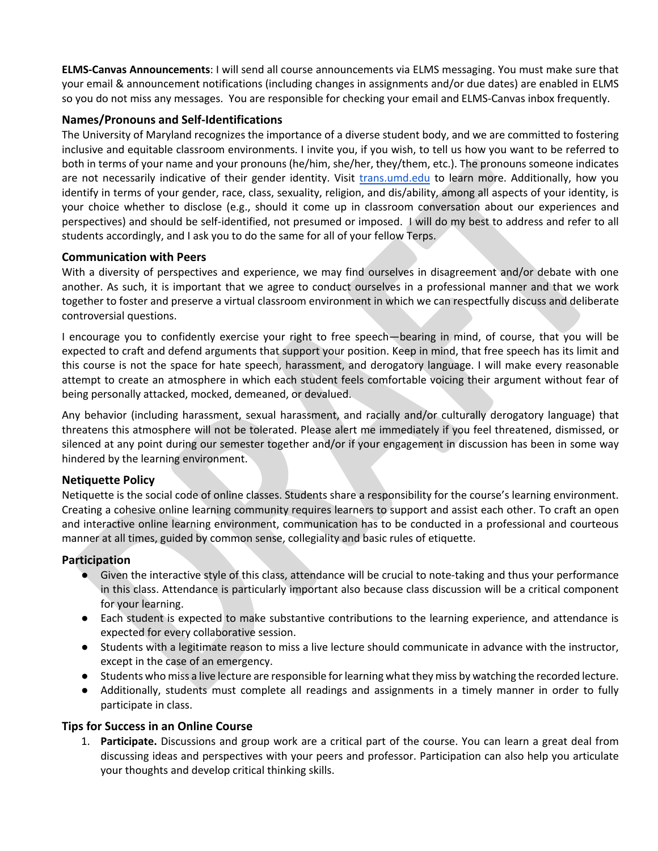**ELMS-Canvas Announcements**: I will send all course announcements via ELMS messaging. You must make sure that your email & announcement notifications (including changes in assignments and/or due dates) are enabled in ELMS so you do not miss any messages. You are responsible for checking your email and ELMS-Canvas inbox frequently.

# **Names/Pronouns and Self-Identifications**

The University of Maryland recognizes the importance of a diverse student body, and we are committed to fostering inclusive and equitable classroom environments. I invite you, if you wish, to tell us how you want to be referred to both in terms of your name and your pronouns (he/him, she/her, they/them, etc.). The pronouns someone indicates are not necessarily indicative of their gender identity. Visit trans.umd.edu to learn more. Additionally, how you identify in terms of your gender, race, class, sexuality, religion, and dis/ability, among all aspects of your identity, is your choice whether to disclose (e.g., should it come up in classroom conversation about our experiences and perspectives) and should be self-identified, not presumed or imposed. I will do my best to address and refer to all students accordingly, and I ask you to do the same for all of your fellow Terps.

### **Communication with Peers**

With a diversity of perspectives and experience, we may find ourselves in disagreement and/or debate with one another. As such, it is important that we agree to conduct ourselves in a professional manner and that we work together to foster and preserve a virtual classroom environment in which we can respectfully discuss and deliberate controversial questions.

I encourage you to confidently exercise your right to free speech—bearing in mind, of course, that you will be expected to craft and defend arguments that support your position. Keep in mind, that free speech has its limit and this course is not the space for hate speech, harassment, and derogatory language. I will make every reasonable attempt to create an atmosphere in which each student feels comfortable voicing their argument without fear of being personally attacked, mocked, demeaned, or devalued.

Any behavior (including harassment, sexual harassment, and racially and/or culturally derogatory language) that threatens this atmosphere will not be tolerated. Please alert me immediately if you feel threatened, dismissed, or silenced at any point during our semester together and/or if your engagement in discussion has been in some way hindered by the learning environment.

### **Netiquette Policy**

Netiquette is the social code of online classes. Students share a responsibility for the course's learning environment. Creating a cohesive online learning community requires learners to support and assist each other. To craft an open and interactive online learning environment, communication has to be conducted in a professional and courteous manner at all times, guided by common sense, collegiality and basic rules of etiquette.

### **Participation**

- Given the interactive style of this class, attendance will be crucial to note-taking and thus your performance in this class. Attendance is particularly important also because class discussion will be a critical component for your learning.
- Each student is expected to make substantive contributions to the learning experience, and attendance is expected for every collaborative session.
- Students with a legitimate reason to miss a live lecture should communicate in advance with the instructor, except in the case of an emergency.
- Students who miss a live lecture are responsible for learning what they miss by watching the recorded lecture.
- Additionally, students must complete all readings and assignments in a timely manner in order to fully participate in class.

### **Tips for Success in an Online Course**

1. **Participate.** Discussions and group work are a critical part of the course. You can learn a great deal from discussing ideas and perspectives with your peers and professor. Participation can also help you articulate your thoughts and develop critical thinking skills.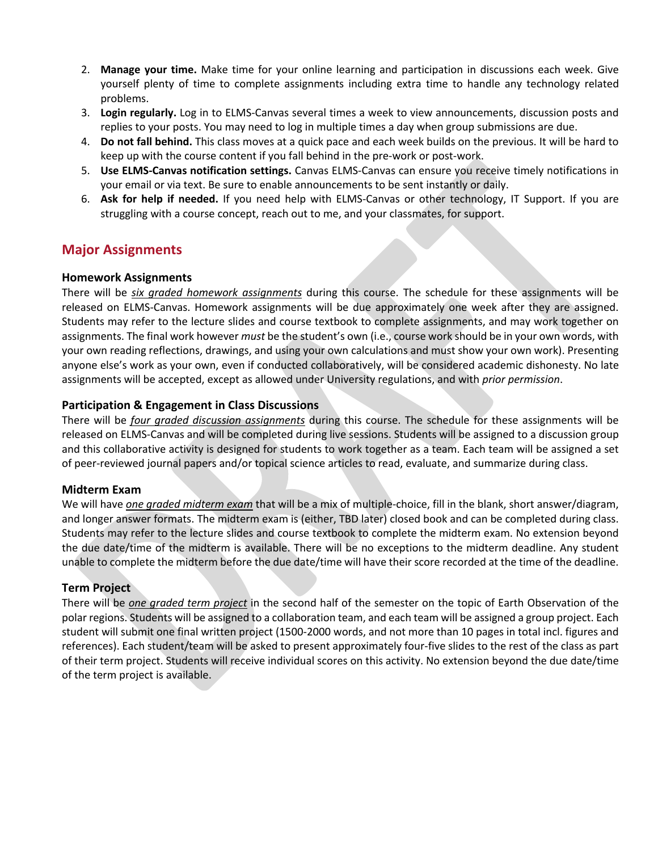- 2. **Manage your time.** Make time for your online learning and participation in discussions each week. Give yourself plenty of time to complete assignments including extra time to handle any technology related problems.
- 3. **Login regularly.** Log in to ELMS-Canvas several times a week to view announcements, discussion posts and replies to your posts. You may need to log in multiple times a day when group submissions are due.
- 4. **Do not fall behind.** This class moves at a quick pace and each week builds on the previous. It will be hard to keep up with the course content if you fall behind in the pre-work or post-work.
- 5. **Use ELMS-Canvas notification settings.** Canvas ELMS-Canvas can ensure you receive timely notifications in your email or via text. Be sure to enable announcements to be sent instantly or daily.
- 6. **Ask for help if needed.** If you need help with ELMS-Canvas or other technology, IT Support. If you are struggling with a course concept, reach out to me, and your classmates, for support.

# **Major Assignments**

# **Homework Assignments**

There will be *six graded homework assignments* during this course. The schedule for these assignments will be released on ELMS-Canvas. Homework assignments will be due approximately one week after they are assigned. Students may refer to the lecture slides and course textbook to complete assignments, and may work together on assignments. The final work however *must* be the student's own (i.e., course work should be in your own words, with your own reading reflections, drawings, and using your own calculations and must show your own work). Presenting anyone else's work as your own, even if conducted collaboratively, will be considered academic dishonesty. No late assignments will be accepted, except as allowed under University regulations, and with *prior permission*.

# **Participation & Engagement in Class Discussions**

There will be *four graded discussion assignments* during this course. The schedule for these assignments will be released on ELMS-Canvas and will be completed during live sessions. Students will be assigned to a discussion group and this collaborative activity is designed for students to work together as a team. Each team will be assigned a set of peer-reviewed journal papers and/or topical science articles to read, evaluate, and summarize during class.

# **Midterm Exam**

We will have *one graded midterm exam* that will be a mix of multiple-choice, fill in the blank, short answer/diagram, and longer answer formats. The midterm exam is (either, TBD later) closed book and can be completed during class. Students may refer to the lecture slides and course textbook to complete the midterm exam. No extension beyond the due date/time of the midterm is available. There will be no exceptions to the midterm deadline. Any student unable to complete the midterm before the due date/time will have their score recorded at the time of the deadline.

# **Term Project**

There will be *one graded term project* in the second half of the semester on the topic of Earth Observation of the polar regions. Students will be assigned to a collaboration team, and each team will be assigned a group project. Each student will submit one final written project (1500-2000 words, and not more than 10 pages in total incl. figures and references). Each student/team will be asked to present approximately four-five slides to the rest of the class as part of their term project. Students will receive individual scores on this activity. No extension beyond the due date/time of the term project is available.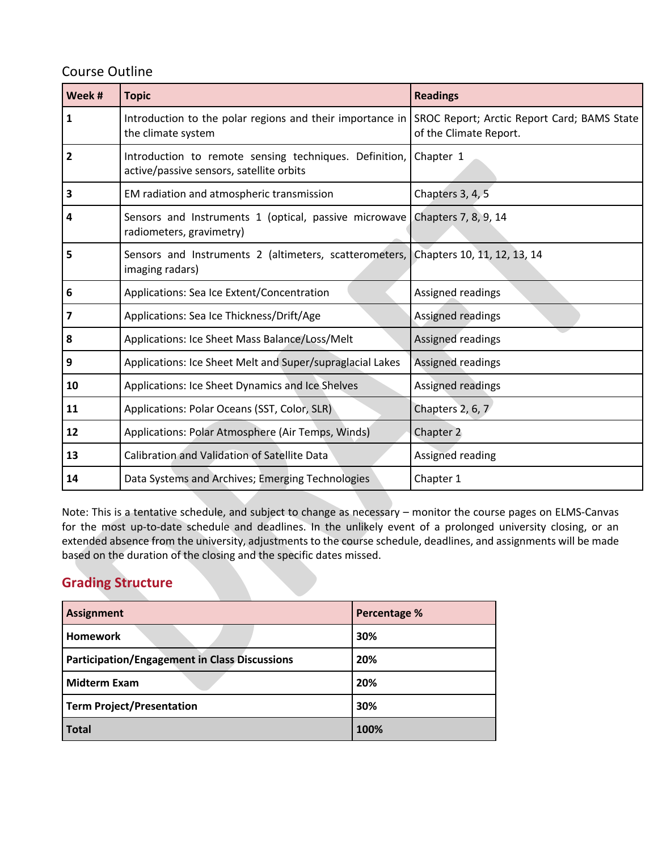# Course Outline

| Week # | <b>Topic</b>                                                                                          | <b>Readings</b>                                                       |  |  |  |
|--------|-------------------------------------------------------------------------------------------------------|-----------------------------------------------------------------------|--|--|--|
| 1      | Introduction to the polar regions and their importance in<br>the climate system                       | SROC Report; Arctic Report Card; BAMS State<br>of the Climate Report. |  |  |  |
| 2      | Introduction to remote sensing techniques. Definition,<br>active/passive sensors, satellite orbits    | Chapter 1                                                             |  |  |  |
| 3      | EM radiation and atmospheric transmission                                                             | Chapters 3, 4, 5                                                      |  |  |  |
| 4      | Sensors and Instruments 1 (optical, passive microwave<br>radiometers, gravimetry)                     | Chapters 7, 8, 9, 14                                                  |  |  |  |
| 5      | Sensors and Instruments 2 (altimeters, scatterometers, Chapters 10, 11, 12, 13, 14<br>imaging radars) |                                                                       |  |  |  |
| 6      | Applications: Sea Ice Extent/Concentration                                                            | Assigned readings                                                     |  |  |  |
| 7      | Applications: Sea Ice Thickness/Drift/Age                                                             | Assigned readings                                                     |  |  |  |
| 8      | Applications: Ice Sheet Mass Balance/Loss/Melt                                                        | Assigned readings                                                     |  |  |  |
| 9      | Applications: Ice Sheet Melt and Super/supraglacial Lakes                                             | Assigned readings                                                     |  |  |  |
| 10     | Applications: Ice Sheet Dynamics and Ice Shelves                                                      | Assigned readings                                                     |  |  |  |
| 11     | Applications: Polar Oceans (SST, Color, SLR)                                                          | Chapters 2, 6, 7                                                      |  |  |  |
| 12     | Applications: Polar Atmosphere (Air Temps, Winds)                                                     | Chapter 2                                                             |  |  |  |
| 13     | Calibration and Validation of Satellite Data                                                          | Assigned reading                                                      |  |  |  |
| 14     | Data Systems and Archives; Emerging Technologies                                                      | Chapter 1                                                             |  |  |  |

Note: This is a tentative schedule, and subject to change as necessary – monitor the course pages on ELMS-Canvas for the most up-to-date schedule and deadlines. In the unlikely event of a prolonged university closing, or an extended absence from the university, adjustments to the course schedule, deadlines, and assignments will be made based on the duration of the closing and the specific dates missed.

# **Grading Structure**

| <b>Assignment</b>                                    | <b>Percentage %</b> |  |  |
|------------------------------------------------------|---------------------|--|--|
| <b>Homework</b>                                      | 30%                 |  |  |
| <b>Participation/Engagement in Class Discussions</b> | 20%                 |  |  |
| <b>Midterm Exam</b>                                  | 20%                 |  |  |
| <b>Term Project/Presentation</b>                     | 30%                 |  |  |
| <b>Total</b>                                         | 100%                |  |  |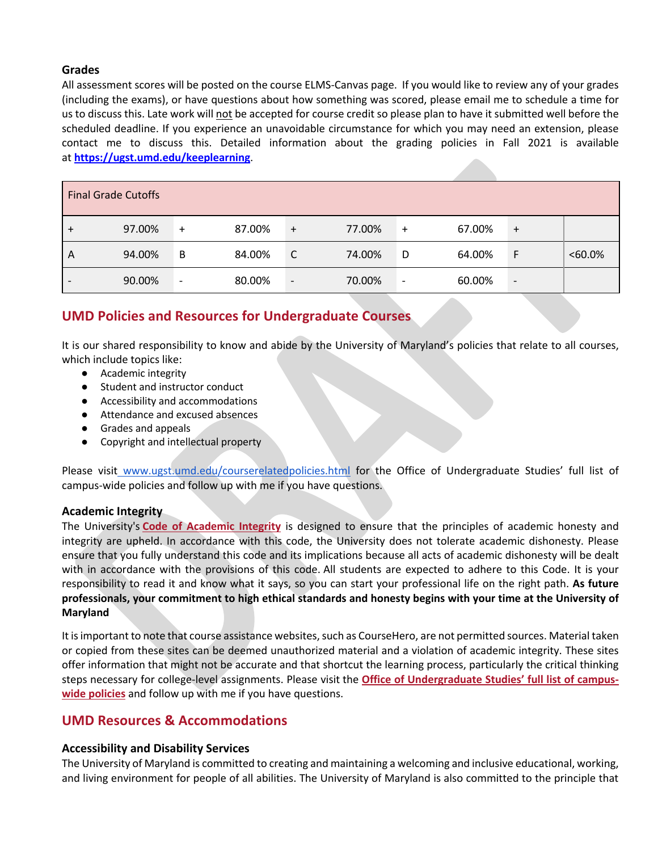# **Grades**

All assessment scores will be posted on the course ELMS-Canvas page. If you would like to review any of your grades (including the exams), or have questions about how something was scored, please email me to schedule a time for us to discuss this. Late work will not be accepted for course credit so please plan to have it submitted well before the scheduled deadline. If you experience an unavoidable circumstance for which you may need an extension, please contact me to discuss this. Detailed information about the grading policies in Fall 2021 is available at **https://ugst.umd.edu/keeplearning**.

| <b>Final Grade Cutoffs</b> |        |           |        |           |        |                          |        |                          |           |  |  |  |  |
|----------------------------|--------|-----------|--------|-----------|--------|--------------------------|--------|--------------------------|-----------|--|--|--|--|
|                            | 97.00% | $\ddot{}$ | 87.00% | $\ddot{}$ | 77.00% | $\ddot{}$                | 67.00% | $+$                      |           |  |  |  |  |
| A                          | 94.00% | B         | 84.00% | C         | 74.00% | D                        | 64.00% | F                        | $<60.0\%$ |  |  |  |  |
|                            | 90.00% | -         | 80.00% | -         | 70.00% | $\overline{\phantom{a}}$ | 60.00% | $\overline{\phantom{a}}$ |           |  |  |  |  |

# **UMD Policies and Resources for Undergraduate Courses**

It is our shared responsibility to know and abide by the University of Maryland's policies that relate to all courses, which include topics like:

- Academic integrity
- Student and instructor conduct
- Accessibility and accommodations
- Attendance and excused absences
- Grades and appeals
- Copyright and intellectual property

Please visit www.ugst.umd.edu/courserelatedpolicies.html for the Office of Undergraduate Studies' full list of campus-wide policies and follow up with me if you have questions.

# **Academic Integrity**

The University's **Code of Academic Integrity** is designed to ensure that the principles of academic honesty and integrity are upheld. In accordance with this code, the University does not tolerate academic dishonesty. Please ensure that you fully understand this code and its implications because all acts of academic dishonesty will be dealt with in accordance with the provisions of this code. All students are expected to adhere to this Code. It is your responsibility to read it and know what it says, so you can start your professional life on the right path. **As future professionals, your commitment to high ethical standards and honesty begins with your time at the University of Maryland**

It is important to note that course assistance websites, such as CourseHero, are not permitted sources. Material taken or copied from these sites can be deemed unauthorized material and a violation of academic integrity. These sites offer information that might not be accurate and that shortcut the learning process, particularly the critical thinking steps necessary for college-level assignments. Please visit the **Office of Undergraduate Studies' full list of campuswide policies** and follow up with me if you have questions.

# **UMD Resources & Accommodations**

# **Accessibility and Disability Services**

The University of Maryland is committed to creating and maintaining a welcoming and inclusive educational, working, and living environment for people of all abilities. The University of Maryland is also committed to the principle that